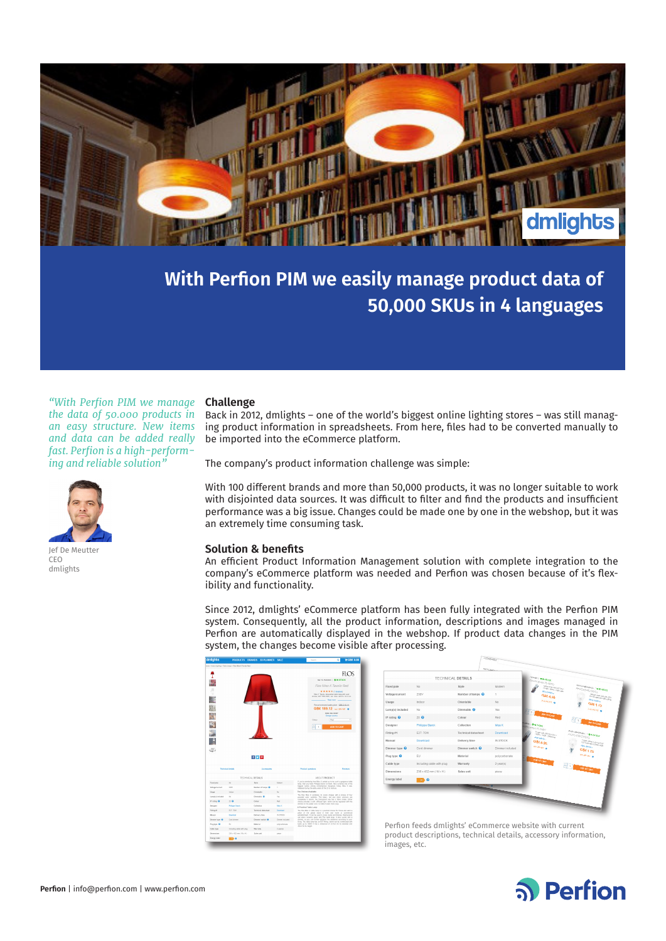

**With Perfion PIM we easily manage product data of 50,000 SKUs in 4 languages**

*"With Perfion PIM we manage the data of 50.000 products in an easy structure. New items and data can be added really fast. Perfion is a high-performing and reliable solution"*



CEO dmlights

# **Challenge**

Back in 2012, dmlights – one of the world's biggest online lighting stores – was still managing product information in spreadsheets. From here, files had to be converted manually to be imported into the eCommerce platform.

The company's product information challenge was simple:

With 100 different brands and more than 50,000 products, it was no longer suitable to work with disjointed data sources. It was difficult to filter and find the products and insufficient performance was a big issue. Changes could be made one by one in the webshop, but it was an extremely time consuming task.

# **Solution & benefits**

An efficient Product Information Management solution with complete integration to the company's eCommerce platform was needed and Perfion was chosen because of it's flexibility and functionality.

Since 2012, dmlights' eCommerce platform has been fully integrated with the Perfion PIM system. Consequently, all the product information, descriptions and images managed in Perfion are automatically displayed in the webshop. If product data changes in the PIM system, the changes become visible after processing.

|                                                                                                         |                           |                              |                  |                         |                                                      | <b>FLOS</b>                                                                                                                                                                                                                                                                                |
|---------------------------------------------------------------------------------------------------------|---------------------------|------------------------------|------------------|-------------------------|------------------------------------------------------|--------------------------------------------------------------------------------------------------------------------------------------------------------------------------------------------------------------------------------------------------------------------------------------------|
|                                                                                                         |                           |                              |                  |                         | RH: R. FAISSIOS   <b>G/IN STOCK</b>                  |                                                                                                                                                                                                                                                                                            |
|                                                                                                         |                           |                              |                  |                         | Flos Miss K Tayolo Red                               |                                                                                                                                                                                                                                                                                            |
|                                                                                                         |                           |                              |                  |                         | Color                                                | **************<br>likes it Taurin, decoration table large with cool.<br>dinner, E27 70W 230V, red. Size: a21.6 x 43.2 cm.<br><b>Final more</b><br>Recommended sales price: GBE-210-14<br>GBE 189.12 INCORNE O<br>FREE DELIVERY<br><b>Change country</b><br>$N_{\rm H}$<br>n<br>ADD TO CART |
|                                                                                                         |                           |                              |                  |                         |                                                      |                                                                                                                                                                                                                                                                                            |
|                                                                                                         | <b>Technical details</b>  | $f$ $v$ $p$<br>Accessodes    |                  | <b>Product combines</b> |                                                      | Reviews                                                                                                                                                                                                                                                                                    |
|                                                                                                         |                           | TECHNICAL DETAILS            |                  |                         | ABOUT PRODUCT                                        |                                                                                                                                                                                                                                                                                            |
|                                                                                                         |                           | Shire                        | Modern           |                         |                                                      | If soulte wondering how Map X ended up to be such a gorgeous table.<br>bros, then you have Philippe Starck to thank. He's currently one of the                                                                                                                                             |
|                                                                                                         | conu                      | Number of lamps <sup>O</sup> | ٠                |                         | selected during the early years of the 21st century. | blowed names among contemporary designers today. Mos K was                                                                                                                                                                                                                                 |
|                                                                                                         | Indone                    | Orientable                   | No.              | The Choices dustingly   |                                                      |                                                                                                                                                                                                                                                                                            |
|                                                                                                         | Se.                       | Dimmable <sup>6</sup>        | Yes              |                         |                                                      | The Fire Map K combines its loonic shapes with a choice of four<br>possible color exclusion. The block, net and silver versions are                                                                                                                                                        |
|                                                                                                         | $20 - 40$                 | Colour                       | Park             |                         |                                                      | completely in startic. The bandcarent one has a fathic shade. Either<br>choice provides a soft, diffused light, which can be regulated with the                                                                                                                                            |
| Fored pole<br><b>Witnesburrent</b><br><b>Usept</b><br>Lampital included<br><b>Profits</b> O<br>Designer | Philippe Diarril          | Collection                   | Mos K            |                         | dimmer on the gower conf, to make it even more copy. |                                                                                                                                                                                                                                                                                            |
|                                                                                                         | 827-30W                   | <b>Technical detechent</b>   | Download         | A Practical Table Lamp  |                                                      | The Fice Mex K table large is a practical choice for those who want a                                                                                                                                                                                                                      |
|                                                                                                         | Countract                 | Delivery Henr                | IN STOCK         |                         |                                                      | since of the clobal brand in their own home or commercial<br>antable/reset. It can be used in whaty more and lineates. Restaurants.                                                                                                                                                        |
|                                                                                                         | Cord dimmer               | Dimmer switch Q              | Diremar included |                         |                                                      | can adom romantic spots with Fice table lamp. It also comes with a<br>dinner, so you can further enhance the ambience according to your                                                                                                                                                    |
|                                                                                                         | <b>BU</b>                 | Material:                    | column homeler   |                         |                                                      | Sims. The table lane has an EZ7 fitting, which can be continued with<br>bulls up to 100% it has a dimension of 23.5cm for its disretor and                                                                                                                                                 |
| Firikan #1<br>Menal<br>Dimmer type O<br><b>Play lyne O</b><br>Cable type                                | Including eable with plug | Marsay                       | 2 year(s)        | Kion for its helpfit.   |                                                      |                                                                                                                                                                                                                                                                                            |

|                          |                           |                              |                 | <b>CS SAND   OR STOCK</b><br>Donn Langs OS 64400                                    |                                                                 |
|--------------------------|---------------------------|------------------------------|-----------------|-------------------------------------------------------------------------------------|-----------------------------------------------------------------|
| Fixed pole               | No.                       | Style                        | Modern          | Associate Printer State<br><b>Filter, 2006 - 2009 - Dea</b><br><b>Mon details a</b> | PERCENTAIRE   ON MOOR<br>PH ECLESTRE27A55CL                     |
| Voltage/current          | 230V                      | Number of lamps <sup>O</sup> | 1               | GBE $8.86$                                                                          | Hidger (less); hidi (litar Edit)<br>E27 Economic 20 2020 - 2020 |
| Usage                    | Indoor                    | Orientable                   | No.             | <b>PACIFICATE OF</b>                                                                | <b>Dire details a</b><br><b>GBE 1.13</b>                        |
| Lamp(s) included         | No.                       | Dimmable <sup>O</sup>        | Yes             |                                                                                     | <b>PACIFICATE OF</b>                                            |
| IP rating <sup>O</sup>   | $20$ $\Omega$             | Colour                       | Red             | <b>AGO TO CARE</b>                                                                  | <b>AND ROOM</b>                                                 |
| Designer                 | Philippe Starck           | Collection                   | Mice K          | <b>ON STOCK</b><br>Manus OS 66407                                                   |                                                                 |
| Fitting #1               | E27:70W                   | Technical datasheet          | Download        | Findingen Audi 1000 AUT 2001<br>100m . 200k . 200k deg                              | PIFECLOWERIANS / ON STOCK<br>PHECLAPHERINGEL                    |
| Manual                   | Download                  | Delivery time                | IN STOCK        | Mon details a<br><b>GBE 8.86</b>                                                    | Finding chase July One City.<br>FOT Everybear 12 2000s (2013).  |
| Dimmer type <sup>O</sup> | Cord dimmer               | Dimmer switch <sup>O</sup>   | Dimmer included | <b>PACIFICATION</b>                                                                 | Man datable a<br>GBE 1.13                                       |
| Plug type <sup>O</sup>   | EU                        | Material                     | polycarbonate   |                                                                                     | <b>PALIFORNIA</b>                                               |
| Cable type               | Including cable with plug | Warranty                     | 2 year(s)       | <b>ALCI TO CANY</b>                                                                 | $H_{11}$                                                        |
| Dimensions               | 236 x 432 mm (Wx H)       | Sales unit                   | piece           |                                                                                     | <b>ROBOCAR</b>                                                  |
| Energy label             | $\bullet$ $\bullet$       |                              |                 |                                                                                     |                                                                 |
|                          |                           |                              |                 |                                                                                     |                                                                 |

Perfion feeds dmlights' eCommerce website with current product descriptions, technical details, accessory information, images, etc.